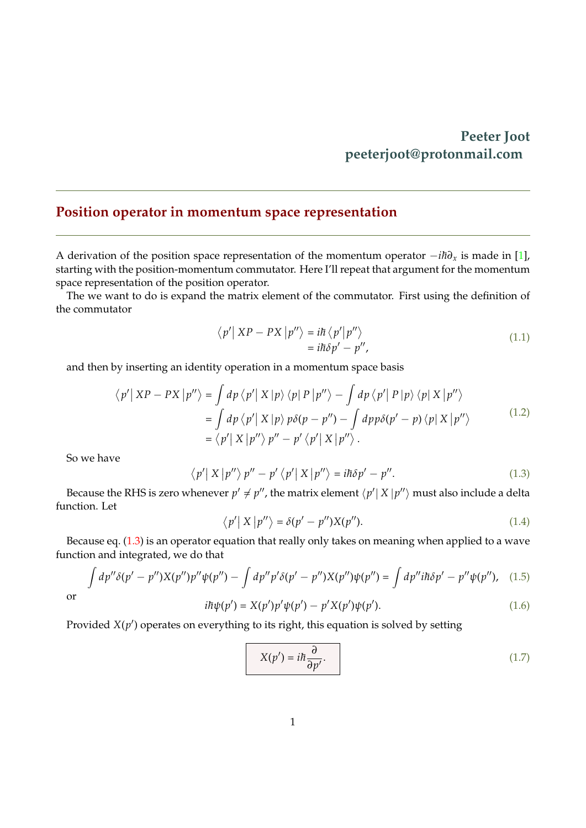## **Peeter Joot peeterjoot@protonmail.com**

## <span id="page-0-0"></span>**Position operator in momentum space representation**

A derivation of the position space representation of the momentum operator −*ih*∂<sub>*x*</sub> is made in [\[1\]](#page-1-0), starting with the position-momentum commutator. Here I'll repeat that argument for the momentum space representation of the position operator.

The we want to do is expand the matrix element of the commutator. First using the definition of the commutator

$$
\langle p' | XP - PX | p'' \rangle = i\hbar \langle p' | p'' \rangle
$$
  
=  $i\hbar \delta p' - p''$ , (1.1)

and then by inserting an identity operation in a momentum space basis

$$
\langle p' | XP - PX | p'' \rangle = \int dp \langle p' | X | p \rangle \langle p | P | p'' \rangle - \int dp \langle p' | P | p \rangle \langle p | X | p'' \rangle
$$
  
= 
$$
\int dp \langle p' | X | p \rangle p \delta(p - p'') - \int dp p \delta(p' - p) \langle p | X | p'' \rangle
$$
  
= 
$$
\langle p' | X | p'' \rangle p'' - p' \langle p' | X | p'' \rangle.
$$
 (1.2)

So we have

$$
\langle p' | X | p'' \rangle p'' - p' \langle p' | X | p'' \rangle = i\hbar \delta p' - p''.
$$
 (1.3)

Because the RHS is zero whenever  $p' \neq p''$ , the matrix element  $\langle p' | X | p'' \rangle$  must also include a delta function. Let

$$
\langle p' | X | p'' \rangle = \delta(p' - p'') X(p''). \tag{1.4}
$$

Because eq. [\(1.3\)](#page-0-0) is an operator equation that really only takes on meaning when applied to a wave function and integrated, we do that

$$
\int dp'' \delta(p'-p'') X(p'') p'' \psi(p'') - \int dp'' p' \delta(p'-p'') X(p'') \psi(p'') = \int dp'' i\hbar \delta p' - p'' \psi(p''), \quad (1.5)
$$

or

$$
i\hbar\psi(p') = X(p')p'\psi(p') - p'X(p')\psi(p').
$$
\n(1.6)

Provided  $X(p')$  operates on everything to its right, this equation is solved by setting

$$
X(p') = i\hbar \frac{\partial}{\partial p'}.\tag{1.7}
$$